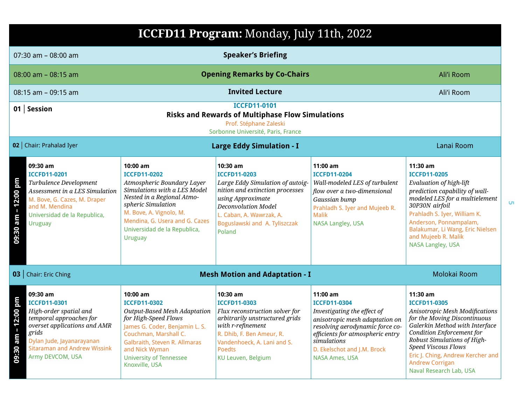|                                                            | ICCFD11 Program: Monday, July 11th, 2022                                                                                                                                                                              |                                                                                                                                                                                                                                                                    |                                                                                                                                                                                                                             |                                                                                                                                                                                                                                                |                                                                                                                                                                                                                                                                                                                                |  |
|------------------------------------------------------------|-----------------------------------------------------------------------------------------------------------------------------------------------------------------------------------------------------------------------|--------------------------------------------------------------------------------------------------------------------------------------------------------------------------------------------------------------------------------------------------------------------|-----------------------------------------------------------------------------------------------------------------------------------------------------------------------------------------------------------------------------|------------------------------------------------------------------------------------------------------------------------------------------------------------------------------------------------------------------------------------------------|--------------------------------------------------------------------------------------------------------------------------------------------------------------------------------------------------------------------------------------------------------------------------------------------------------------------------------|--|
|                                                            | 07:30 am - 08:00 am                                                                                                                                                                                                   |                                                                                                                                                                                                                                                                    | <b>Speaker's Briefing</b>                                                                                                                                                                                                   |                                                                                                                                                                                                                                                |                                                                                                                                                                                                                                                                                                                                |  |
|                                                            | $08:00$ am $-08:15$ am                                                                                                                                                                                                |                                                                                                                                                                                                                                                                    | <b>Opening Remarks by Co-Chairs</b>                                                                                                                                                                                         |                                                                                                                                                                                                                                                | Ali'i Room                                                                                                                                                                                                                                                                                                                     |  |
|                                                            | 08:15 am - 09:15 am                                                                                                                                                                                                   |                                                                                                                                                                                                                                                                    | <b>Invited Lecture</b>                                                                                                                                                                                                      |                                                                                                                                                                                                                                                | Ali'i Room                                                                                                                                                                                                                                                                                                                     |  |
|                                                            | 01   Session                                                                                                                                                                                                          |                                                                                                                                                                                                                                                                    | <b>ICCFD11-0101</b><br><b>Risks and Rewards of Multiphase Flow Simulations</b><br>Prof. Stéphane Zaleski<br>Sorbonne Université, Paris, France                                                                              |                                                                                                                                                                                                                                                |                                                                                                                                                                                                                                                                                                                                |  |
|                                                            | 02   Chair: Prahalad Iyer                                                                                                                                                                                             |                                                                                                                                                                                                                                                                    | <b>Large Eddy Simulation - I</b>                                                                                                                                                                                            |                                                                                                                                                                                                                                                | Lanai Room                                                                                                                                                                                                                                                                                                                     |  |
| 09:30 am – 12:00 pm                                        | 09:30 am<br><b>ICCFD11-0201</b><br>Turbulence Development<br>Assessment in a LES Simulation<br>M. Bove, G. Cazes, M. Draper<br>and M. Mendina<br>Universidad de la Republica,<br>Uruguay                              | $10:00$ am<br><b>ICCFD11-0202</b><br>Atmospheric Boundary Layer<br>Simulations with a LES Model<br>Nested in a Regional Atmo-<br>spheric Simulation<br>M. Bove, A. Vignolo, M.<br>Mendina, G. Usera and G. Cazes<br>Universidad de la Republica,<br><b>Uruguay</b> | 10:30 am<br><b>ICCFD11-0203</b><br>Large Eddy Simulation of autoig-<br>nition and extinction processes<br>using Approximate<br>Deconvolution Model<br>L. Caban, A. Wawrzak, A.<br>Boguslawski and A. Tyliszczak<br>Poland   | 11:00 am<br><b>ICCFD11-0204</b><br>Wall-modeled LES of turbulent<br>flow over a two-dimensional<br>Gaussian bump<br>Prahladh S. Iyer and Mujeeb R.<br><b>Malik</b><br>NASA Langley, USA                                                        | 11:30 am<br><b>ICCFD11-0205</b><br>Evaluation of high-lift<br>prediction capability of wall-<br>modeled LES for a multielement<br>30P30N airfoil<br>Prahladh S. Iyer, William K.<br>Anderson, Ponnampalam,<br>Balakumar, Li Wang, Eric Nielsen<br>and Mujeeb R. Malik<br>NASA Langley, USA                                     |  |
|                                                            | 03   Chair: Eric Ching                                                                                                                                                                                                |                                                                                                                                                                                                                                                                    | <b>Mesh Motion and Adaptation - I</b>                                                                                                                                                                                       |                                                                                                                                                                                                                                                | Molokai Room                                                                                                                                                                                                                                                                                                                   |  |
| $\frac{100}{200}$<br>$\overline{\mathbf{r}}$<br>09:30 am - | 09:30 am<br><b>ICCFD11-0301</b><br>High-order spatial and<br>temporal approaches for<br>overset applications and AMR<br>grids<br>Dylan Jude, Jayanarayanan<br><b>Sitaraman and Andrew Wissink</b><br>Army DEVCOM, USA | $10:00$ am<br><b>ICCFD11-0302</b><br>Output-Based Mesh Adaptation<br>for High-Speed Flows<br>James G. Coder, Benjamin L. S.<br>Couchman, Marshall C.<br>Galbraith, Steven R. Allmaras<br>and Nick Wyman<br><b>University of Tennessee</b><br>Knoxville, USA        | 10:30 am<br><b>ICCFD11-0303</b><br>Flux reconstruction solver for<br>arbitrarily unstructured grids<br>with r-refinement<br>R. Dhib, F. Ben Ameur, R.<br>Vandenhoeck, A. Lani and S.<br><b>Poedts</b><br>KU Leuven, Belgium | 11:00 am<br><b>ICCFD11-0304</b><br>Investigating the effect of<br>anisotropic mesh adaptation on<br>resolving aerodynamic force co-<br>efficients for atmospheric entry<br>simulations<br>D. Ekelschot and J.M. Brock<br><b>NASA Ames, USA</b> | 11:30 am<br><b>ICCFD11-0305</b><br>Anisotropic Mesh Modifications<br>for the Moving Discontinuous<br>Galerkin Method with Interface<br><b>Condition Enforcement for</b><br>Robust Simulations of High-<br><b>Speed Viscous Flows</b><br>Eric J. Ching, Andrew Kercher and<br><b>Andrew Corrigan</b><br>Naval Research Lab, USA |  |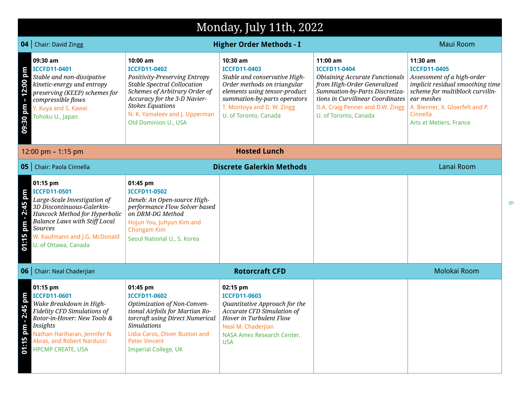|                                           | Monday, July 11th, 2022                                                                                                                                                                                                                           |                                                                                                                                                                                                                                                              |                                                                                                                                                                                                                         |                                                                                                                                                                                                                                            |                                                                                                                                                                                                                              |  |
|-------------------------------------------|---------------------------------------------------------------------------------------------------------------------------------------------------------------------------------------------------------------------------------------------------|--------------------------------------------------------------------------------------------------------------------------------------------------------------------------------------------------------------------------------------------------------------|-------------------------------------------------------------------------------------------------------------------------------------------------------------------------------------------------------------------------|--------------------------------------------------------------------------------------------------------------------------------------------------------------------------------------------------------------------------------------------|------------------------------------------------------------------------------------------------------------------------------------------------------------------------------------------------------------------------------|--|
| 04                                        | <b>Chair: David Zingg</b>                                                                                                                                                                                                                         |                                                                                                                                                                                                                                                              | <b>Higher Order Methods - I</b>                                                                                                                                                                                         |                                                                                                                                                                                                                                            | <b>Maui Room</b>                                                                                                                                                                                                             |  |
| $12.00$ pm<br>$\blacksquare$<br>09:30 pm  | 09:30 am<br><b>ICCFD11-0401</b><br>Stable and non-dissipative<br>kinetic-energy and entropy<br>preserving (KEEP) schemes for<br>compressible flows<br>Y. Kuya and S. Kawai<br>Tohoku U., Japan                                                    | 10:00 am<br><b>ICCFD11-0402</b><br>Positivity-Preserving Entropy<br><b>Stable Spectral Collocation</b><br>Schemes of Arbitrary Order of<br>Accuracy for the 3-D Navier-<br><b>Stokes Equations</b><br>N. K. Yamaleev and J. Upperman<br>Old Dominion U., USA | 10:30 am<br><b>ICCFD11-0403</b><br>Stable and conservative High-<br>Order methods on triangular<br>elements using tensor-product<br>summation-by-parts operators<br>T. Montoya and D. W. Zingg<br>U. of Toronto, Canada | 11:00 am<br><b>ICCFD11-0404</b><br><b>Obtaining Accurate Functionals</b><br>from High-Order Generalized<br>Summation-by-Parts Discretiza-<br>tions in Curvilinear Coordinates<br>D.A. Craig Penner and D.W. Zingg<br>U. of Toronto, Canada | 11:30 am<br><b>ICCFD11-0405</b><br>Assessment of a high-order<br>implicit residual smoothing time<br>scheme for multiblock curvilin-<br>ear meshes<br>A. Bienner, X. Gloerfelt and P.<br>Cinnella<br>Arts et Metiers, France |  |
|                                           | 12:00 pm $-$ 1:15 pm                                                                                                                                                                                                                              |                                                                                                                                                                                                                                                              | <b>Hosted Lunch</b>                                                                                                                                                                                                     |                                                                                                                                                                                                                                            |                                                                                                                                                                                                                              |  |
|                                           | <b>05</b>   Chair: Paola Cinnella                                                                                                                                                                                                                 |                                                                                                                                                                                                                                                              | <b>Discrete Galerkin Methods</b>                                                                                                                                                                                        |                                                                                                                                                                                                                                            | Lanai Room                                                                                                                                                                                                                   |  |
| pm - 2:45 pm<br>01:15                     | 01:15 pm<br><b>ICCFD11-0501</b><br>Large-Scale Investigation of<br>3D Discontinuous-Galerkin-<br>Hancock Method for Hyperbolic<br><b>Balance Laws with Stiff Local</b><br><b>Sources</b><br>W. Kaufmann and J.G. McDonald<br>U. of Ottawa, Canada | 01:45 pm<br><b>ICCFD11-0502</b><br>Deneb: An Open-source High-<br>performance Flow Solver based<br>on DRM-DG Method<br>Hojun You, Juhyun Kim and<br>Chongam Kim<br>Seoul National U., S. Korea                                                               |                                                                                                                                                                                                                         |                                                                                                                                                                                                                                            |                                                                                                                                                                                                                              |  |
| 06                                        | <b>Chair: Neal Chaderjian</b>                                                                                                                                                                                                                     |                                                                                                                                                                                                                                                              | <b>Rotorcraft CFD</b>                                                                                                                                                                                                   |                                                                                                                                                                                                                                            | Molokai Room                                                                                                                                                                                                                 |  |
| md 51:<br>N<br>$\blacksquare$<br>01:15 pm | 01:15 pm<br><b>ICCFD11-0601</b><br>Wake Breakdown in High-<br>Fidelity CFD Simulations of<br>Rotor-in-Hover: New Tools &<br>Insights<br>Nathan Hariharan, Jennifer N.<br>Abras, and Robert Narducci<br><b>HPCMP CREATE, USA</b>                   | 01:45 pm<br><b>ICCFD11-0602</b><br>Optimization of Non-Conven-<br>tional Airfoils for Martian Ro-<br>torcraft using Direct Numerical<br><b>Simulations</b><br>Lidia Caros, Oliver Buxton and<br><b>Peter Vincent</b><br><b>Imperial College, UK</b>          | 02:15 pm<br><b>ICCFD11-0603</b><br>Quantitative Approach for the<br>Accurate CFD Simulation of<br>Hover in Turbulent Flow<br>Neal M. Chaderjian<br>NASA Ames Research Center,<br><b>USA</b>                             |                                                                                                                                                                                                                                            |                                                                                                                                                                                                                              |  |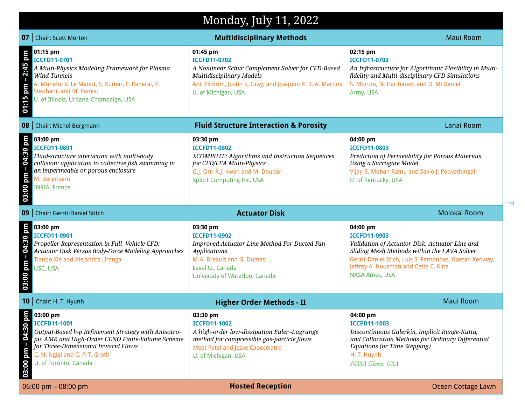## Monday, July 11, 2022

|                                         | <b>07</b>   Chair: Scott Morton                                                                                                                                                                                                               | <b>Multidisciplinary Methods</b>                                                                                                                                                                       | <b>Maui Room</b>                                                                                                                                                                                                                                      |
|-----------------------------------------|-----------------------------------------------------------------------------------------------------------------------------------------------------------------------------------------------------------------------------------------------|--------------------------------------------------------------------------------------------------------------------------------------------------------------------------------------------------------|-------------------------------------------------------------------------------------------------------------------------------------------------------------------------------------------------------------------------------------------------------|
| $2:45$ pm<br>$\blacksquare$<br>01:15 pm | 01:15 pm<br>ICCFD11-0701<br>A Multi-Physics Modeling Framework for Plasma<br>Wind Tunnels<br>A. Munafo, V. Le Maout, S. Kumar, F. Panerai, K.<br>Stephani, and M. Panesi<br>U. of Illinois, Urbana-Champaign, USA                             | 01:45 pm<br><b>ICCFD11-0702</b><br>A Nonlinear Schur Complement Solver for CFD-Based<br>Multidisciplinary Models<br>Anil Yildirim, Justin S. Gray, and Joaquim R. R. A. Martins<br>U. of Michigan, USA | 02:15 pm<br><b>ICCFD11-0703</b><br>An Infrastructure for Algorithmic Flexibility in Multi-<br>fidelity and Multi-disciplinary CFD Simulations<br>S. Morton, N. Hariharan, and D. McDaniel<br>Army, USA                                                |
|                                         | 08   Chair: Michel Bergmann                                                                                                                                                                                                                   | <b>Fluid Structure Interaction &amp; Porosity</b>                                                                                                                                                      | Lanai Room                                                                                                                                                                                                                                            |
| $-04:30$ pm<br>03:00 pm                 | 03:00 pm<br><b>ICCFD11-0801</b><br>Fluid-structure interaction with multi-body<br>collision: application to collective fish swimming in<br>an impermeable or porous enclosure<br>M. Bergmann<br><b>INRIA, France</b>                          | 03:30 pm<br><b>ICCFD11-0802</b><br>XCOMPUTE: Algorithms and Instruction Sequences<br>for CFD/FEA Multi-Physics<br>G.J. Orr, R.J. Kwan and M. Doudar<br>Xplicit Computing Inc, USA                      | 04:00 pm<br><b>ICCFD11-0803</b><br>Prediction of Permeability for Porous Materials<br>Using a Surrogate Model<br>Vijay B. Mohan Ramu and Savio J. Poovathingal<br>U. of Kentucky, USA                                                                 |
|                                         | 09   Chair: Gerrit-Daniel Stitch                                                                                                                                                                                                              | <b>Actuator Disk</b>                                                                                                                                                                                   | Molokai Room                                                                                                                                                                                                                                          |
| 03:00 pm – 04:30 pm                     | 03:00 pm<br>ICCFD11-0901<br>Propeller Representation in Full- Vehicle CFD:<br>Actuator Disk Versus Body-Force Modeling Approaches<br>Tianbo Xie and Alejandra Uranga<br>USC, USA                                                              | 03:30 pm<br><b>ICCFD11-0902</b><br>Improved Actuator Line Method For Ducted Fan<br><b>Applications</b><br>M-A. Breault and G. Dumas<br>Laval U., Canada<br>University of Waterloo, Canada              | 04:00 pm<br><b>ICCFD11-0903</b><br>Validation of Actuator Disk, Actuator Line and<br>Sliding Mesh Methods within the LAVA Solver<br>Gerrit-Daniel Stich, Luis S. Fernandes, Gaetan Kenway,<br>Jeffrey A. Housman and Cetin C. Kiris<br>NASA Ames, USA |
|                                         |                                                                                                                                                                                                                                               |                                                                                                                                                                                                        |                                                                                                                                                                                                                                                       |
|                                         | 10   Chair: H. T. Hyunh                                                                                                                                                                                                                       | <b>Higher Order Methods - II</b>                                                                                                                                                                       | <b>Maui Room</b>                                                                                                                                                                                                                                      |
| 틍<br>$-04:30$<br>03:00 pm               | 03:00 pm<br><b>ICCFD11-1001</b><br>Output-Based h-p Refinement Strategy with Anisotro-<br>pic AMR and High-Order CENO Finite-Volume Scheme<br>for Three-Dimensional Inviscid Flows<br>C. N. Ngigi and C. P. T. Groth<br>U. of Toronto, Canada | 03:30 pm<br><b>ICCFD11-1002</b><br>A high-order low-dissipation Euler-Lagrange<br>method for compressible gas-particle flows<br><b>Meet Patel and Jesse Capecelatro</b><br>U. of Michigan, USA         | 04:00 pm<br><b>ICCFD11-1003</b><br>Discontinuous Galerkin, Implicit Runge-Kutta,<br>and Collocation Methods for Ordinary Differential<br>Equations (or Time Stepping)<br>H. T. Huynh<br>NASA Glenn, USA                                               |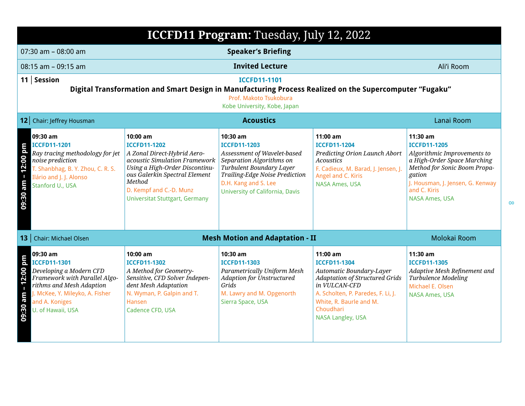| ICCFD11 Program: Tuesday, July 12, 2022                                                                                                                                                                                            |                                                                                                                                                                                                                                                    |                                                                                                                                                                                                                     |                                                                                                                                                                                                                          |                                                                                                                                                                                                                      |  |  |
|------------------------------------------------------------------------------------------------------------------------------------------------------------------------------------------------------------------------------------|----------------------------------------------------------------------------------------------------------------------------------------------------------------------------------------------------------------------------------------------------|---------------------------------------------------------------------------------------------------------------------------------------------------------------------------------------------------------------------|--------------------------------------------------------------------------------------------------------------------------------------------------------------------------------------------------------------------------|----------------------------------------------------------------------------------------------------------------------------------------------------------------------------------------------------------------------|--|--|
| $07:30$ am - $08:00$ am                                                                                                                                                                                                            | <b>Speaker's Briefing</b>                                                                                                                                                                                                                          |                                                                                                                                                                                                                     |                                                                                                                                                                                                                          |                                                                                                                                                                                                                      |  |  |
| $08:15$ am - 09:15 am                                                                                                                                                                                                              |                                                                                                                                                                                                                                                    | <b>Invited Lecture</b>                                                                                                                                                                                              |                                                                                                                                                                                                                          | Ali'i Room                                                                                                                                                                                                           |  |  |
| 11   Session                                                                                                                                                                                                                       | <b>ICCFD11-1101</b><br>Digital Transformation and Smart Design in Manufacturing Process Realized on the Supercomputer "Fugaku"<br>Prof. Makoto Tsukobura<br>Kobe University, Kobe, Japan                                                           |                                                                                                                                                                                                                     |                                                                                                                                                                                                                          |                                                                                                                                                                                                                      |  |  |
| 12 Chair: Jeffrey Housman                                                                                                                                                                                                          |                                                                                                                                                                                                                                                    | <b>Acoustics</b>                                                                                                                                                                                                    |                                                                                                                                                                                                                          | Lanai Room                                                                                                                                                                                                           |  |  |
| 09:30 am<br><b>ICCFD11-1201</b><br>12:00 pm<br>Ray tracing methodology for jet<br>noise prediction<br>T. Shanbhag, B. Y. Zhou, C. R. S.<br>$\blacksquare$<br>Ilário and J. J. Alonso<br>09:30 am<br>Stanford U., USA               | $10:00$ am<br><b>ICCFD11-1202</b><br>A Zonal Direct-Hybrid Aero-<br>acoustic Simulation Framework<br>Using a High-Order Discontinu-<br>ous Galerkin Spectral Element<br>Method<br>D. Kempf and C.-D. Munz<br><b>Universitat Stuttgart, Germany</b> | 10:30 am<br><b>ICCFD11-1203</b><br>Assessment of Wavelet-based<br>Separation Algorithms on<br>Turbulent Boundary Layer<br>Trailing-Edge Noise Prediction<br>D.H. Kang and S. Lee<br>University of California, Davis | $11:00$ am<br><b>ICCFD11-1204</b><br>Predicting Orion Launch Abort<br><b>Acoustics</b><br>F. Cadieux, M. Barad, J. Jensen, J.<br>Angel and C. Kiris<br><b>NASA Ames, USA</b>                                             | 11:30 am<br><b>ICCFD11-1205</b><br>Algorithmic Improvements to<br>a High-Order Space Marching<br>Method for Sonic Boom Propa-<br>gation<br>J. Housman, J. Jensen, G. Kenway<br>and C. Kiris<br><b>NASA Ames, USA</b> |  |  |
| 13   Chair: Michael Olsen                                                                                                                                                                                                          |                                                                                                                                                                                                                                                    | <b>Mesh Motion and Adaptation - II</b>                                                                                                                                                                              |                                                                                                                                                                                                                          | Molokai Room                                                                                                                                                                                                         |  |  |
| 09:30 am<br>12:00 pm<br>ICCFD11-1301<br>Developing a Modern CFD<br>Framework with Parallel Algo-<br>rithms and Mesh Adaption<br>$\mathbf{I}$<br>J. McKee, Y. Mileyko, A. Fisher<br>09:30 am<br>and A. Koniges<br>U. of Hawaii, USA | 10:00 am<br><b>ICCFD11-1302</b><br>A Method for Geometry-<br>Sensitive, CFD Solver Indepen-<br>dent Mesh Adaptation<br>N. Wyman, P. Galpin and T.<br>Hansen<br>Cadence CFD, USA                                                                    | 10:30 am<br><b>ICCFD11-1303</b><br>Parametrically Uniform Mesh<br><b>Adaption for Unstructured</b><br>Grids<br>M. Lawry and M. Opgenorth<br>Sierra Space, USA                                                       | 11:00 am<br><b>ICCFD11-1304</b><br>Automatic Boundary-Layer<br><b>Adaptation of Structured Grids</b><br>in VULCAN-CFD<br>A. Scholten, P. Paredes, F. Li, J.<br>White, R. Baurle and M.<br>Choudhari<br>NASA Langley, USA | 11:30 am<br><b>ICCFD11-1305</b><br>Adaptive Mesh Refinement and<br>Turbulence Modeling<br>Michael E. Olsen<br><b>NASA Ames, USA</b>                                                                                  |  |  |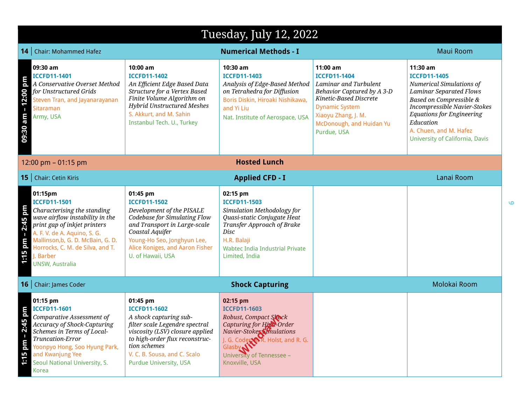## Tuesday, July 12, 2022

|                                      | <b>14</b>   Chair: Mohammed Hafez                                                                                                                                                                                                                                                |                                                                                                                                                                                                                                                   | <b>Numerical Methods - I</b>                                                                                                                                                                                            |                                                                                                                                                                                                               | <b>Maui Room</b>                                                                                                                                                                                                                                                                           |
|--------------------------------------|----------------------------------------------------------------------------------------------------------------------------------------------------------------------------------------------------------------------------------------------------------------------------------|---------------------------------------------------------------------------------------------------------------------------------------------------------------------------------------------------------------------------------------------------|-------------------------------------------------------------------------------------------------------------------------------------------------------------------------------------------------------------------------|---------------------------------------------------------------------------------------------------------------------------------------------------------------------------------------------------------------|--------------------------------------------------------------------------------------------------------------------------------------------------------------------------------------------------------------------------------------------------------------------------------------------|
| $-12:00$ pm<br>09:30 am              | 09:30 am<br><b>ICCFD11-1401</b><br>A Conservative Overset Method<br>for Unstructured Grids<br>Steven Tran, and Jayanarayanan<br>Sitaraman<br>Army, USA                                                                                                                           | $10:00$ am<br><b>ICCFD11-1402</b><br>An Efficient Edge Based Data<br>Structure for a Vertex Based<br>Finite Volume Algorithm on<br><b>Hybrid Unstructured Meshes</b><br>S. Akkurt, and M. Sahin<br>Instanbul Tech. U., Turkey                     | $10:30$ am<br><b>ICCFD11-1403</b><br>Analysis of Edge-Based Method<br>on Tetrahedra for Diffusion<br>Boris Diskin, Hiroaki Nishikawa,<br>and Yi Liu<br>Nat. Institute of Aerospace, USA                                 | $11:00$ am<br><b>ICCFD11-1404</b><br>Laminar and Turbulent<br>Behavior Captured by A 3-D<br>Kinetic-Based Discrete<br><b>Dynamic System</b><br>Xiaoyu Zhang, J. M.<br>McDonough, and Huidan Yu<br>Purdue, USA | $11:30$ am<br><b>ICCFD11-1405</b><br><b>Numerical Simulations of</b><br><b>Laminar Separated Flows</b><br><b>Based on Compressible &amp;</b><br>Incompressible Navier-Stokes<br><b>Equations for Engineering</b><br>Education<br>A. Chuen, and M. Hafez<br>University of California, Davis |
|                                      | 12:00 pm $-$ 01:15 pm                                                                                                                                                                                                                                                            |                                                                                                                                                                                                                                                   | <b>Hosted Lunch</b>                                                                                                                                                                                                     |                                                                                                                                                                                                               |                                                                                                                                                                                                                                                                                            |
|                                      | 15   Chair: Cetin Kiris                                                                                                                                                                                                                                                          |                                                                                                                                                                                                                                                   | <b>Applied CFD - I</b>                                                                                                                                                                                                  |                                                                                                                                                                                                               | Lanai Room                                                                                                                                                                                                                                                                                 |
| 2:45 pm<br>$\blacksquare$<br>1:15 pm | 01:15pm<br><b>ICCFD11-1501</b><br>Characterising the standing<br>wave airflow instability in the<br>print gap of inkjet printers<br>A. F. V. de A. Aquino, S. G.<br>Mallinson, b, G. D. McBain, G. D.<br>Horrocks, C. M. de Silva, and T.<br>J. Barber<br><b>UNSW, Australia</b> | 01:45 pm<br><b>ICCFD11-1502</b><br>Development of the PISALE<br>Codebase for Simulating Flow<br>and Transport in Large-scale<br>Coastal Aquifer<br>Young-Ho Seo, Jonghyun Lee,<br>Alice Koniges, and Aaron Fisher<br>U. of Hawaii, USA            | 02:15 pm<br><b>ICCFD11-1503</b><br>Simulation Methodology for<br>Quasi-static Conjugate Heat<br>Transfer Approach of Brake<br>Disc<br>H.R. Balaji<br><b>Wabtec India Industrial Private</b><br>Limited, India           |                                                                                                                                                                                                               |                                                                                                                                                                                                                                                                                            |
|                                      | <b>16</b>   Chair: James Coder                                                                                                                                                                                                                                                   |                                                                                                                                                                                                                                                   | <b>Shock Capturing</b>                                                                                                                                                                                                  |                                                                                                                                                                                                               | Molokai Room                                                                                                                                                                                                                                                                               |
| $-2:45$ pm<br>md<br>1:15             | 01:15 pm<br><b>ICCFD11-1601</b><br>Comparative Assessment of<br><b>Accuracy of Shock-Capturing</b><br>Schemes in Terms of Local-<br>Truncation-Error<br>Yoonpyo Hong, Soo Hyung Park,<br>and Kwanjung Yee<br>Seoul National University, S.<br><b>Korea</b>                       | 01:45 pm<br><b>ICCFD11-1602</b><br>A shock capturing sub-<br>filter scale Legendre spectral<br>viscosity (LSV) closure applied<br>to high-order flux reconstruc-<br>tion schemes<br>V. C. B. Sousa, and C. Scalo<br><b>Purdue University, USA</b> | 02:15 pm<br><b>ICCFD11-1603</b><br>Robust, Compact Slock<br>Capturing for Hist-Order<br><i>Navier-Stokes Smulations</i><br>J. G. Codes S.R. Holst, and R. G.<br>Glasby N<br>University of Tennessee -<br>Knoxville, USA |                                                                                                                                                                                                               |                                                                                                                                                                                                                                                                                            |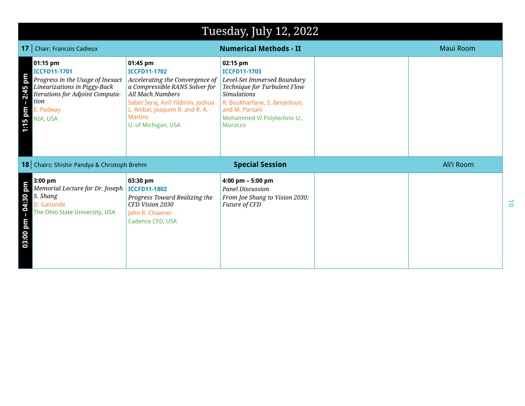|                         | Tuesday, July 12, 2022                                                                                                                                                  |                                                                                                                                                                                                                                                   |                                                                                                                                                                                                                           |  |                  |
|-------------------------|-------------------------------------------------------------------------------------------------------------------------------------------------------------------------|---------------------------------------------------------------------------------------------------------------------------------------------------------------------------------------------------------------------------------------------------|---------------------------------------------------------------------------------------------------------------------------------------------------------------------------------------------------------------------------|--|------------------|
|                         | <b>17</b>   Chair: Francois Cadieux                                                                                                                                     |                                                                                                                                                                                                                                                   | <b>Numerical Methods - II</b>                                                                                                                                                                                             |  | <b>Maui Room</b> |
| 2:45 pm<br>п<br>1:15 pm | 01:15 pm<br><b>ICCFD11-1701</b><br>Progress in the Usage of Inexact<br>Linearizations in Piggy-Back<br>Iterations for Adjoint Computa-<br>tion<br>E. Padway<br>NIA, USA | 01:45 pm<br><b>ICCFD11-1702</b><br>Accelerating the Convergence of<br>a Compressible RANS Solver for<br><b>All Mach Numbers</b><br>Sabet Seraj, Anil Yildirim, Joshua<br>L. Anibal, Joaquim R. and R. A.<br><b>Martins</b><br>U. of Michigan, USA | 02:15 pm<br><b>ICCFD11-1703</b><br>Level-Set Immersed Boundary<br>Technique for Turbulent Flow<br><b>Simulations</b><br>R. Boukharfane, S. Benjelloun,<br>and M. Parsani<br>Mohammed VI Polytechnic U.,<br><b>Morocco</b> |  |                  |
|                         | 18 Chairs: Shishir Pandya & Christoph Brehm                                                                                                                             |                                                                                                                                                                                                                                                   | <b>Special Session</b>                                                                                                                                                                                                    |  | Ali'i Room       |
| 04:30 pm<br>03:00 pm    | $3:00$ pm<br>Memorial Lecture for Dr. Joseph<br>S. Shang<br>D. Gaitonde<br>The Ohio State University, USA                                                               | 03:30 pm<br><b>ICCFD11-1802</b><br>Progress Toward Realizing the<br>CFD Vision 2030<br>John R. Chawner<br>Cadence CFD, USA                                                                                                                        | 4:00 pm - 5:00 pm<br><b>Panel Discussion</b><br>From Joe Shang to Vision 2030:<br>Future of CFD                                                                                                                           |  |                  |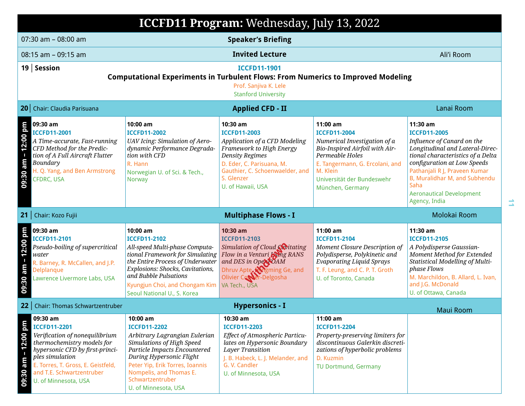|                         | ICCFD11 Program: Wednesday, July 13, 2022                                                                                                                                                                                |                                                                                                                                                                                                                                                                        |                                                                                                                                                                                                                             |                                                                                                                                                                                                                       |                                                                                                                                                                                                                                                                                                    |
|-------------------------|--------------------------------------------------------------------------------------------------------------------------------------------------------------------------------------------------------------------------|------------------------------------------------------------------------------------------------------------------------------------------------------------------------------------------------------------------------------------------------------------------------|-----------------------------------------------------------------------------------------------------------------------------------------------------------------------------------------------------------------------------|-----------------------------------------------------------------------------------------------------------------------------------------------------------------------------------------------------------------------|----------------------------------------------------------------------------------------------------------------------------------------------------------------------------------------------------------------------------------------------------------------------------------------------------|
|                         | 07:30 am - 08:00 am                                                                                                                                                                                                      |                                                                                                                                                                                                                                                                        | <b>Speaker's Briefing</b>                                                                                                                                                                                                   |                                                                                                                                                                                                                       |                                                                                                                                                                                                                                                                                                    |
|                         | 08:15 am - 09:15 am                                                                                                                                                                                                      |                                                                                                                                                                                                                                                                        | <b>Invited Lecture</b>                                                                                                                                                                                                      |                                                                                                                                                                                                                       | Ali'i Room                                                                                                                                                                                                                                                                                         |
|                         | 19   Session                                                                                                                                                                                                             | <b>Computational Experiments in Turbulent Flows: From Numerics to Improved Modeling</b>                                                                                                                                                                                | <b>ICCFD11-1901</b><br>Prof. Sanjiva K. Lele<br><b>Stanford University</b>                                                                                                                                                  |                                                                                                                                                                                                                       |                                                                                                                                                                                                                                                                                                    |
|                         | 20 Chair: Claudia Parisuana                                                                                                                                                                                              |                                                                                                                                                                                                                                                                        | <b>Applied CFD - II</b>                                                                                                                                                                                                     |                                                                                                                                                                                                                       | Lanai Room                                                                                                                                                                                                                                                                                         |
| 12:00 pm<br>09:30 am    | 09:30 am<br><b>ICCFD11-2001</b><br>A Time-accurate, Fast-running<br>CFD Method for the Predic-<br>tion of A Full Aircraft Flutter<br>Boundary<br>H. Q. Yang, and Ben Armstrong<br><b>CFDRC, USA</b>                      | 10:00 am<br><b>ICCFD11-2002</b><br>UAV Icing: Simulation of Aero-<br>dynamic Performance Degrada-<br>tion with CFD<br>R. Hann<br>Norwegian U. of Sci. & Tech.,<br>Norway                                                                                               | $10:30$ am<br><b>ICCFD11-2003</b><br>Application of a CFD Modeling<br>Framework to High Energy<br><b>Density Regimes</b><br>D. Eder, C. Parisuana, M.<br>Gauthier, C. Schoenwaelder, and<br>S. Glenzer<br>U. of Hawaii, USA | 11:00 am<br><b>ICCFD11-2004</b><br>Numerical Investigation of a<br>Bio-Inspired Airfoil with Air-<br>Permeable Holes<br>E. Tangermann, G. Ercolani, and<br>M. Klein<br>Universität der Bundeswehr<br>München, Germany | 11:30 am<br><b>ICCFD11-2005</b><br>Influence of Canard on the<br>Longitudinal and Lateral-Direc-<br>tional characteristics of a Delta<br>configuration at Low Speeds<br>Pathanjali R J, Praveen Kumar<br>B, Muralidhar M, and Subhendu<br>Saha<br><b>Aeronautical Development</b><br>Agency, India |
|                         | 21   Chair: Kozo Fujii                                                                                                                                                                                                   |                                                                                                                                                                                                                                                                        | <b>Multiphase Flows - I</b>                                                                                                                                                                                                 |                                                                                                                                                                                                                       | Molokai Room                                                                                                                                                                                                                                                                                       |
| 09:30 am - 12:00 pm     | 09:30 am<br><b>ICCFD11-2101</b><br>Pseudo-boiling of supercritical<br>water<br>R. Barney, R. McCallen, and J.P.<br>Delplanque<br>Lawrence Livermore Labs, USA                                                            | 10:00 am<br><b>ICCFD11-2102</b><br>All-speed Multi-phase Computa-<br>tional Framework for Simulating<br>the Entire Process of Underwater<br>Explosions: Shocks, Cavitations,<br>and Bubble Pulsations<br>Kyungjun Choi, and Chongam Kim<br>Seoul National U., S. Korea | 10:30 am<br><b>ICCFD11-2103</b><br>Simulation of Cloud Civitating<br>Flow in a Venturi Ling RANS<br>and DES in OpenNOAM<br>Dhruv Apte, Wigming Ge, and<br>Olivier Corpor-Delgosha<br>VA Tech., USA                          | $11:00$ am<br><b>ICCFD11-2104</b><br>Moment Closure Description of<br>Polydisperse, Polykinetic and<br><b>Evaporating Liquid Sprays</b><br>T. F. Leung, and C. P. T. Groth<br>U. of Toronto, Canada                   | 11:30 am<br><b>ICCFD11-2105</b><br>A Polydisperse Gaussian-<br>Moment Method for Extended<br>Statistical Modelling of Multi-<br>phase Flows<br>M. Marchildon, B. Allard, L. Ivan,<br>and J.G. McDonald<br>U. of Ottawa, Canada                                                                     |
| 22                      | <b>Chair: Thomas Schwartzentruber</b>                                                                                                                                                                                    |                                                                                                                                                                                                                                                                        | <b>Hypersonics - I</b>                                                                                                                                                                                                      |                                                                                                                                                                                                                       | <b>Maui Room</b>                                                                                                                                                                                                                                                                                   |
| $-12:00$ pm<br>09:30 am | 09:30 am<br><b>ICCFD11-2201</b><br>Verification of nonequilibrium<br>thermochemistry models for<br>hypersonic CFD by first-princi-<br>ples simulation<br>E. Torres, T. Gross, E. Geistfeld,<br>and T.E. Schwartzentruber | 10:00 am<br><b>ICCFD11-2202</b><br>Arbitrary Lagrangian Eulerian<br>Simulations of High Speed<br>Particle Impacts Encountered<br>During Hypersonic Flight<br>Peter Yip, Erik Torres, Ioannis<br>Nompelis, and Thomas E.                                                | 10:30 am<br><b>ICCFD11-2203</b><br>Effect of Atmospheric Particu-<br>lates on Hypersonic Boundary<br>Layer Transition<br>J. B. Habeck, L. J. Melander, and<br>G. V. Candler<br>U. of Minnesota, USA                         | 11:00 am<br><b>ICCFD11-2204</b><br>Property-preserving limiters for<br>discontinuous Galerkin discreti-<br>zations of hyperbolic problems<br>D. Kuzmin<br><b>TU Dortmund, Germany</b>                                 |                                                                                                                                                                                                                                                                                                    |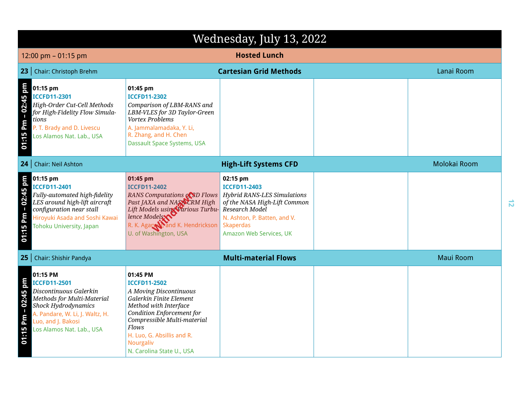|                         | Wednesday, July 13, 2022                                                                                                                                                                             |                                                                                                                                                                                                                                                            |                                                                                                                                                           |  |                  |  |
|-------------------------|------------------------------------------------------------------------------------------------------------------------------------------------------------------------------------------------------|------------------------------------------------------------------------------------------------------------------------------------------------------------------------------------------------------------------------------------------------------------|-----------------------------------------------------------------------------------------------------------------------------------------------------------|--|------------------|--|
|                         | <b>Hosted Lunch</b><br>12:00 pm $-$ 01:15 pm                                                                                                                                                         |                                                                                                                                                                                                                                                            |                                                                                                                                                           |  |                  |  |
|                         | 23   Chair: Christoph Brehm                                                                                                                                                                          |                                                                                                                                                                                                                                                            | <b>Cartesian Grid Methods</b>                                                                                                                             |  | Lanai Room       |  |
| Pm - 02:45 pm<br>01:15  | 01:15 pm<br><b>ICCFD11-2301</b><br>High-Order Cut-Cell Methods<br>for High-Fidelity Flow Simula-<br>tions<br>P. T. Brady and D. Livescu<br>Los Alamos Nat. Lab., USA                                 | 01:45 pm<br><b>ICCFD11-2302</b><br>Comparison of LBM-RANS and<br>LBM-VLES for 3D Taylor-Green<br>Vortex Problems<br>A. Jammalamadaka, Y. Li,<br>R. Zhang, and H. Chen<br><b>Dassault Space Systems, USA</b>                                                |                                                                                                                                                           |  |                  |  |
|                         | 24   Chair: Neil Ashton                                                                                                                                                                              |                                                                                                                                                                                                                                                            | <b>High-Lift Systems CFD</b>                                                                                                                              |  | Molokai Room     |  |
| $-02:45$ pm<br>01:15 Pm | 01:15 pm<br><b>ICCFD11-2401</b><br>Fully-automated high-fidelity<br>LES around high-lift aircraft<br>configuration near stall<br>Hiroyuki Asada and Soshi Kawai<br><b>Tohoku University, Japan</b>   | 01:45 pm<br><b>ICCFD11-2402</b><br>RANS Computations of SD Flows   Hybrid RANS-LES Simulations<br>Past JAXA and NASACRM High<br>Lift Models using Various Turbu-<br>lence Models<br>R. K. Agary Mand K. Hendrickson<br>U. of Washington, USA               | 02:15 pm<br><b>ICCFD11-2403</b><br>of the NASA High-Lift Common<br>Research Model<br>N. Ashton, P. Batten, and V.<br>Skaperdas<br>Amazon Web Services, UK |  |                  |  |
| 25 <sub>2</sub>         | Chair: Shishir Pandya                                                                                                                                                                                |                                                                                                                                                                                                                                                            | <b>Multi-material Flows</b>                                                                                                                               |  | <b>Maui Room</b> |  |
| $-02:45$ pm<br>01:15 Pm | 01:15 PM<br><b>ICCFD11-2501</b><br>Discontinuous Galerkin<br>Methods for Multi-Material<br>Shock Hydrodynamics<br>A. Pandare, W. Li, J. Waltz, H.<br>Luo, and J. Bakosi<br>Los Alamos Nat. Lab., USA | 01:45 PM<br><b>ICCFD11-2502</b><br>A Moving Discontinuous<br>Galerkin Finite Element<br>Method with Interface<br>Condition Enforcement for<br>Compressible Multi-material<br>Flows<br>H. Luo, G. Absillis and R.<br>Nourgaliv<br>N. Carolina State U., USA |                                                                                                                                                           |  |                  |  |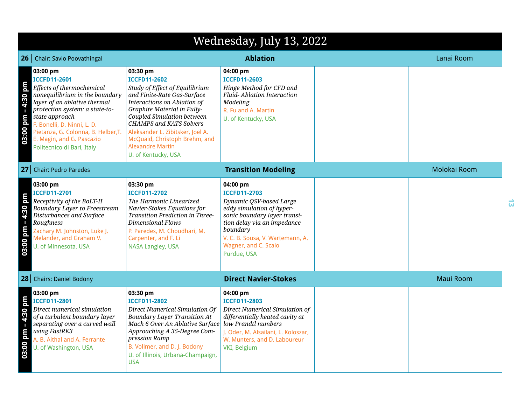|                                       | Wednesday, July 13, 2022                                                                                                                                                                                                                                                                                            |                                                                                                                                                                                                                                                                                                                                                       |                                                                                                                                                                                                                                               |  |                  |
|---------------------------------------|---------------------------------------------------------------------------------------------------------------------------------------------------------------------------------------------------------------------------------------------------------------------------------------------------------------------|-------------------------------------------------------------------------------------------------------------------------------------------------------------------------------------------------------------------------------------------------------------------------------------------------------------------------------------------------------|-----------------------------------------------------------------------------------------------------------------------------------------------------------------------------------------------------------------------------------------------|--|------------------|
|                                       | 26   Chair: Savio Poovathingal                                                                                                                                                                                                                                                                                      |                                                                                                                                                                                                                                                                                                                                                       | <b>Ablation</b>                                                                                                                                                                                                                               |  | Lanai Room       |
| md<br>$-4:30$<br>03:00 pm             | 03:00 pm<br><b>ICCFD11-2601</b><br>Effects of thermochemical<br>nonequilibrium in the boundary<br>layer of an ablative thermal<br>protection system: a state-to-<br>state approach<br>F. Bonelli, D. Ninni, L. D.<br>Pietanza, G. Colonna, B. Helber, T.<br>E. Magin, and G. Pascazio<br>Politecnico di Bari, Italy | 03:30 pm<br><b>ICCFD11-2602</b><br>Study of Effect of Equilibrium<br>and Finite-Rate Gas-Surface<br>Interactions on Ablation of<br>Graphite Material in Fully-<br>Coupled Simulation between<br><b>CHAMPS and KATS Solvers</b><br>Aleksander L. Zibitsker, Joel A.<br>McQuaid, Christoph Brehm, and<br><b>Alexandre Martin</b><br>U. of Kentucky, USA | 04:00 pm<br><b>ICCFD11-2603</b><br>Hinge Method for CFD and<br>Fluid-Ablation Interaction<br>Modeling<br>R. Fu and A. Martin<br>U. of Kentucky, USA                                                                                           |  |                  |
|                                       | 27 Chair: Pedro Paredes                                                                                                                                                                                                                                                                                             |                                                                                                                                                                                                                                                                                                                                                       | <b>Transition Modeling</b>                                                                                                                                                                                                                    |  | Molokai Room     |
| $-4:30$ pm<br>03:00 pm                | 03:00 pm<br><b>ICCFD11-2701</b><br>Receptivity of the BoLT-II<br><b>Boundary Layer to Freestream</b><br>Disturbances and Surface<br>Roughness<br>Zachary M. Johnston, Luke J.<br>Melander, and Graham V.<br>U. of Minnesota, USA                                                                                    | 03:30 pm<br><b>ICCFD11-2702</b><br>The Harmonic Linearized<br>Navier-Stokes Equations for<br>Transition Prediction in Three-<br>Dimensional Flows<br>P. Paredes, M. Choudhari, M.<br>Carpenter, and F. Li<br>NASA Langley, USA                                                                                                                        | 04:00 pm<br><b>ICCFD11-2703</b><br>Dynamic QSV-based Large<br>eddy simulation of hyper-<br>sonic boundary layer transi-<br>tion delay via an impedance<br>boundary<br>V. C. B. Sousa, V. Wartemann, A.<br>Wagner, and C. Scalo<br>Purdue, USA |  |                  |
|                                       | 28   Chairs: Daniel Bodony                                                                                                                                                                                                                                                                                          |                                                                                                                                                                                                                                                                                                                                                       | <b>Direct Navier-Stokes</b>                                                                                                                                                                                                                   |  | <b>Maui Room</b> |
| 4:30 pm<br>$\blacksquare$<br>03:00 pm | 03:00 pm<br><b>ICCFD11-2801</b><br>Direct numerical simulation<br>of a turbulent boundary layer<br>separating over a curved wall<br>using FastRK3<br>A. B. Aithal and A. Ferrante<br>U. of Washington, USA                                                                                                          | 03:30 pm<br><b>ICCFD11-2802</b><br>Direct Numerical Simulation Of<br><b>Boundary Layer Transition At</b><br>Mach 6 Over An Ablative Surface low Prandtl numbers<br>Approaching A 35-Degree Com-<br>pression Ramp<br>B. Vollmer, and D. J. Bodony<br>U. of Illinois, Urbana-Champaign,<br><b>USA</b>                                                   | 04:00 pm<br><b>ICCFD11-2803</b><br>Direct Numerical Simulation of<br>differentially heated cavity at<br>J. Oder, M. Alsailani, L. Koloszar,<br>W. Munters, and D. Laboureur<br>VKI, Belgium                                                   |  |                  |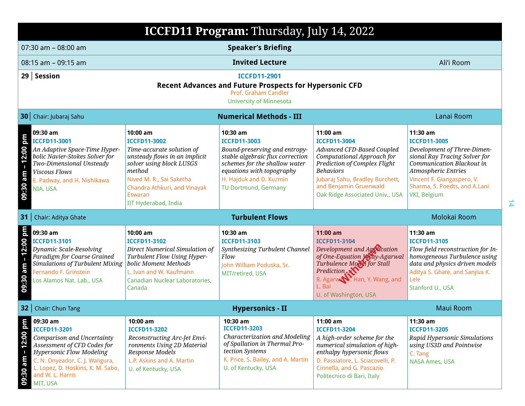|                        | ICCFD11 Program: Thursday, July 14, 2022                                                                                                                                                                                                |                                                                                                                                                                                                                                           |                                                                                                                                                                                                                              |                                                                                                                                                                                                                                                          |                                                                                                                                                                                                                                           |  |
|------------------------|-----------------------------------------------------------------------------------------------------------------------------------------------------------------------------------------------------------------------------------------|-------------------------------------------------------------------------------------------------------------------------------------------------------------------------------------------------------------------------------------------|------------------------------------------------------------------------------------------------------------------------------------------------------------------------------------------------------------------------------|----------------------------------------------------------------------------------------------------------------------------------------------------------------------------------------------------------------------------------------------------------|-------------------------------------------------------------------------------------------------------------------------------------------------------------------------------------------------------------------------------------------|--|
|                        | 07:30 am - 08:00 am<br><b>Speaker's Briefing</b>                                                                                                                                                                                        |                                                                                                                                                                                                                                           |                                                                                                                                                                                                                              |                                                                                                                                                                                                                                                          |                                                                                                                                                                                                                                           |  |
|                        | $08:15$ am $-09:15$ am                                                                                                                                                                                                                  |                                                                                                                                                                                                                                           | <b>Invited Lecture</b>                                                                                                                                                                                                       |                                                                                                                                                                                                                                                          | Ali'i Room                                                                                                                                                                                                                                |  |
|                        | $29$ Session<br><b>ICCFD11-2901</b><br><b>Recent Advances and Future Prospects for Hypersonic CFD</b><br>Prof. Graham Candler<br><b>University of Minnesota</b>                                                                         |                                                                                                                                                                                                                                           |                                                                                                                                                                                                                              |                                                                                                                                                                                                                                                          |                                                                                                                                                                                                                                           |  |
|                        | 30 Chair: Jubaraj Sahu                                                                                                                                                                                                                  |                                                                                                                                                                                                                                           | <b>Numerical Methods - III</b>                                                                                                                                                                                               |                                                                                                                                                                                                                                                          | Lanai Room                                                                                                                                                                                                                                |  |
| 09:30 am - 12:00 pm    | 09:30 am<br><b>ICCFD11-3001</b><br>An Adaptive Space-Time Hyper-<br>bolic Navier-Stokes Solver for<br>Two-Dimensional Unsteady<br>Viscous Flows<br>E. Padway, and H. Nishikawa<br>NIA, USA                                              | 10:00 am<br><b>ICCFD11-3002</b><br>Time-accurate solution of<br>unsteady flows in an implicit<br>solver using block LUSGS<br>method<br>Nived M. R., Sai Saketha<br>Chandra Athkuri, and Vinayak<br><b>Eswaran</b><br>IIT Hyderabad, India | 10:30 am<br><b>ICCFD11-3003</b><br>Bound-preserving and entropy-<br>stable algebraic flux correction<br>schemes for the shallow water<br>equations with topography<br>H. Hajduk and D. Kuzmin<br><b>TU Dortmund, Germany</b> | $11:00$ am<br><b>ICCFD11-3004</b><br>Advanced CFD-Based Coupled<br>Computational Approach for<br><b>Prediction of Complex Flight</b><br><b>Behaviors</b><br>Jubaraj Sahu, Bradley Burchett,<br>and Benjamin Gruenwald<br>Oak Ridge Associated Univ., USA | 11:30 am<br><b>ICCFD11-3005</b><br>Development of Three-Dimen-<br>sional Ray Tracing Solver for<br>Communication Blackout in<br><b>Atmospheric Entries</b><br>Vincent F. Giangaspero, V.<br>Sharma, S. Poedts, and A.Lani<br>VKI, Belgium |  |
| 31                     | Chair: Aditya Ghate                                                                                                                                                                                                                     |                                                                                                                                                                                                                                           | <b>Turbulent Flows</b>                                                                                                                                                                                                       |                                                                                                                                                                                                                                                          | Molokai Room                                                                                                                                                                                                                              |  |
| 12:00 pm<br>09:30 am - | 09:30 am<br>ICCFD11-3101<br>Dynamic Scale-Resolving<br>Paradigm for Coarse Grained<br>Simulations of Turbulent Mixing<br>Fernando F. Grinstein<br>Los Alamos Nat. Lab., USA                                                             | 10:00 am<br><b>ICCFD11-3102</b><br>Direct Numerical Simulation of<br>Turbulent Flow Using Hyper-<br>bolic Moment Methods<br>L. Ivan and W. Kaufmann<br>Canadian Nuclear Laboratories,<br>Canada                                           | 10:30 am<br><b>ICCFD11-3103</b><br>Synthesizing Turbulent Channel<br>Flow<br>John William Poduska, Sr.<br>MIT/retired, USA                                                                                                   | $11:00$ am<br><b>ICCFD11-3104</b><br>Development and Application<br>of One-Equation May-Agarwal<br>Turbulence Model for Stall<br>Prediction <sub>.</sub><br>R. Agarwa Y. Han, Y. Wang, and<br>L. Bai<br>U. of Washington, USA                            | 11:30 am<br><b>ICCFD11-3105</b><br>Flow field reconstruction for In-<br>homogeneous Turbulence using<br>data and physics driven models<br>Aditya S. Ghate, and Sanjiva K.<br>Lele<br>Stanford U., USA                                     |  |
| 32                     | <b>Chair: Chun Tang</b>                                                                                                                                                                                                                 |                                                                                                                                                                                                                                           | <b>Hypersonics - II</b>                                                                                                                                                                                                      |                                                                                                                                                                                                                                                          | <b>Maui Room</b>                                                                                                                                                                                                                          |  |
| 12:00 pm<br>09:30 am - | 09:30 am<br><b>ICCFD11-3201</b><br>Comparison and Uncertainty<br>Assessment of CFD Codes for<br><b>Hypersonic Flow Modeling</b><br>C. N. Onyeador, C. J. Waligura,<br>L. Lopez, D. Hoskins, K. M. Sabo,<br>and W. L. Harris<br>MIT, USA | 10:00 am<br><b>ICCFD11-3202</b><br>Reconstructing Arc-Jet Envi-<br>ronments Using 2D Material<br>Response Models<br>L.P. Askins and A. Martin<br>U. of Kentucky, USA                                                                      | 10:30 am<br><b>ICCFD11-3203</b><br>Characterization and Modeling<br>of Spallation in Thermal Pro-<br>tection Systems<br>K. Price, S. Bailey, and A. Martin<br>U. of Kentucky, USA                                            | 11:00 am<br><b>ICCFD11-3204</b><br>A high-order scheme for the<br>numerical simulation of high-<br>enthalpy hypersonic flows<br>D. Passiatore, L. Sciacovelli, P.<br>Cinnella, and G. Pascazio<br>Politecnico di Bari, Italy                             | 11:30 am<br><b>ICCFD11-3205</b><br>Rapid Hypersonic Simulations<br>using US3D and Pointwise<br>C. Tang<br><b>NASA Ames, USA</b>                                                                                                           |  |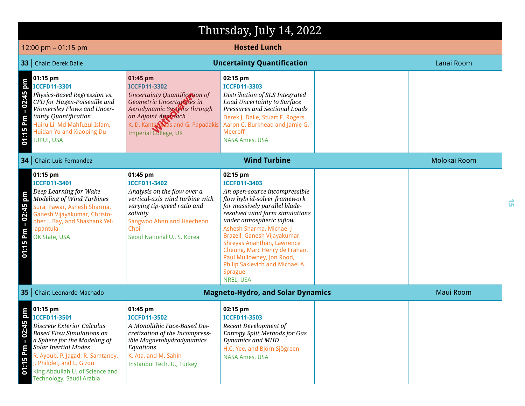|                                                      | Thursday, July 14, 2022                                                                                                                                                                                                                                                                                 |                                                                                                                                                                                                                  |                                                                                                                                                                                                                                                                                                                                                                                                                                  |  |                  |
|------------------------------------------------------|---------------------------------------------------------------------------------------------------------------------------------------------------------------------------------------------------------------------------------------------------------------------------------------------------------|------------------------------------------------------------------------------------------------------------------------------------------------------------------------------------------------------------------|----------------------------------------------------------------------------------------------------------------------------------------------------------------------------------------------------------------------------------------------------------------------------------------------------------------------------------------------------------------------------------------------------------------------------------|--|------------------|
|                                                      | 12:00 pm - 01:15 pm                                                                                                                                                                                                                                                                                     |                                                                                                                                                                                                                  | <b>Hosted Lunch</b>                                                                                                                                                                                                                                                                                                                                                                                                              |  |                  |
|                                                      | 33   Chair: Derek Dalle                                                                                                                                                                                                                                                                                 |                                                                                                                                                                                                                  | <b>Uncertainty Quantification</b>                                                                                                                                                                                                                                                                                                                                                                                                |  | Lanai Room       |
| 01:15 Pm - 02:45 pm                                  | 01:15 pm<br><b>ICCFD11-3301</b><br>Physics-Based Regression vs.<br>CFD for Hagen-Poiseuille and<br><b>Womersley Flows and Uncer-</b><br>tainty Quantification<br>Huiru Li, Md Mahfuzul Islam,<br>Huidan Yu and Xiaoping Du<br><b>IUPUI, USA</b>                                                         | 01:45 pm<br><b>ICCFD11-3302</b><br>Uncertainty Quantification of<br>Geometric Uncertainties in<br>Aerodynamic Systems through<br>an Adjoint Appleach<br>K. D. Kanta Was and G. Papadakis<br>Imperial College, UK | 02:15 pm<br><b>ICCFD11-3303</b><br>Distribution of SLS Integrated<br>Load Uncertainty to Surface<br>Pressures and Sectional Loads<br>Derek J. Dalle, Stuart E. Rogers,<br>Aaron C. Burkhead and Jamie G.<br><b>Meeroff</b><br><b>NASA Ames, USA</b>                                                                                                                                                                              |  |                  |
|                                                      | <b>34</b>   Chair: Luis Fernandez                                                                                                                                                                                                                                                                       |                                                                                                                                                                                                                  | <b>Wind Turbine</b>                                                                                                                                                                                                                                                                                                                                                                                                              |  | Molokai Room     |
| 02:45 pm<br>01:15 Pm -                               | 01:15 pm<br><b>ICCFD11-3401</b><br>Deep Learning for Wake<br><b>Modeling of Wind Turbines</b><br>Suraj Pawar, Ashesh Sharma,<br>Ganesh Vijayakumar, Christo-<br>pher J. Bay, and Shashank Yel-<br>lapantula<br>OK State, USA                                                                            | 01:45 pm<br><b>ICCFD11-3402</b><br>Analysis on the flow over a<br>vertical-axis wind turbine with<br>varying tip-speed ratio and<br>solidity<br>Sangwoo Ahnn and Haecheon<br>Choi<br>Seoul National U., S. Korea | 02:15 pm<br><b>ICCFD11-3403</b><br>An open-source incompressible<br>flow hybrid-solver framework<br>for massively parallel blade-<br>resolved wind farm simulations<br>under atmospheric inflow<br>Ashesh Sharma, Michael J<br>Brazell, Ganesh Vijayakumar,<br>Shreyas Ananthan, Lawrence<br>Cheung, Marc Henry de Frahan,<br>Paul Mullowney, Jon Rood,<br>Philip Sakievich and Michael A.<br><b>Sprague</b><br><b>NREL, USA</b> |  |                  |
|                                                      | 35   Chair: Leonardo Machado                                                                                                                                                                                                                                                                            |                                                                                                                                                                                                                  | <b>Magneto-Hydro, and Solar Dynamics</b>                                                                                                                                                                                                                                                                                                                                                                                         |  | <b>Maui Room</b> |
| $\mathbf{m}$<br>02:45p<br>$\blacksquare$<br>01:15 Pm | $\blacksquare$ 01:15 pm<br><b>ICCFD11-3501</b><br>Discrete Exterior Calculus<br><b>Based Flow Simulations on</b><br>a Sphere for the Modeling of<br>Solar Inertial Modes<br>R. Ayoub, P. Jagad, R. Samtaney,<br>. Philidet, and L. Gizon<br>King Abdullah U. of Science and<br>Technology, Saudi Arabia | 01:45 pm<br><b>ICCFD11-3502</b><br>A Monolithic Face-Based Dis-<br>cretization of the Incompress-<br>ible Magnetohydrodynamics<br>Equations<br>K. Ata, and M. Sahin<br>Instanbul Tech. U., Turkey                | 02:15 pm<br><b>ICCFD11-3503</b><br>Recent Development of<br><b>Entropy Split Methods for Gas</b><br>Dynamics and MHD<br>H.C. Yee, and Björn Sjögreen<br><b>NASA Ames, USA</b>                                                                                                                                                                                                                                                    |  |                  |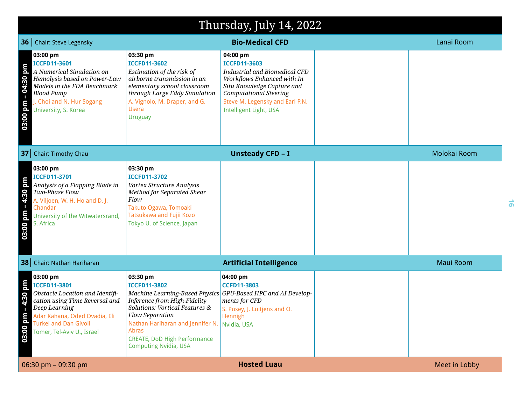|                           | Thursday, July 14, 2022                                                                                                                                                                                              |                                                                                                                                                                                                                                                                                                          |                                                                                                                                                                                                                                          |  |                  |  |
|---------------------------|----------------------------------------------------------------------------------------------------------------------------------------------------------------------------------------------------------------------|----------------------------------------------------------------------------------------------------------------------------------------------------------------------------------------------------------------------------------------------------------------------------------------------------------|------------------------------------------------------------------------------------------------------------------------------------------------------------------------------------------------------------------------------------------|--|------------------|--|
|                           | <b>36</b>   Chair: Steve Legensky                                                                                                                                                                                    |                                                                                                                                                                                                                                                                                                          | <b>Bio-Medical CFD</b>                                                                                                                                                                                                                   |  | Lanai Room       |  |
| pm<br>04:30<br>03:00 pm   | 03:00 pm<br><b>ICCFD11-3601</b><br>A Numerical Simulation on<br>Hemolysis based on Power-Law<br>Models in the FDA Benchmark<br><b>Blood Pump</b><br>J. Choi and N. Hur Sogang<br>University, S. Korea                | 03:30 pm<br><b>ICCFD11-3602</b><br>Estimation of the risk of<br>airborne transmission in an<br>elementary school classroom<br>through Large Eddy Simulation<br>A. Vignolo, M. Draper, and G.<br><b>Usera</b><br><b>Uruguay</b>                                                                           | 04:00 pm<br><b>ICCFD11-3603</b><br><b>Industrial and Biomedical CFD</b><br>Workflows Enhanced with In<br>Situ Knowledge Capture and<br><b>Computational Steering</b><br>Steve M. Legensky and Earl P.N.<br><b>Intelligent Light, USA</b> |  |                  |  |
|                           | 37 Chair: Timothy Chau                                                                                                                                                                                               |                                                                                                                                                                                                                                                                                                          | <b>Unsteady CFD - I</b>                                                                                                                                                                                                                  |  | Molokai Room     |  |
| pm<br>4:30<br>md<br>03:00 | 03:00 pm<br><b>ICCFD11-3701</b><br>Analysis of a Flapping Blade in<br>Two-Phase Flow<br>A. Viljoen, W. H. Ho and D. J.<br>Chandar<br>University of the Witwatersrand,<br>S. Africa                                   | 03:30 pm<br><b>ICCFD11-3702</b><br>Vortex Structure Analysis<br>Method for Separated Shear<br>Flow<br>Takuto Ogawa, Tomoaki<br>Tatsukawa and Fujii Kozo<br>Tokyo U. of Science, Japan                                                                                                                    |                                                                                                                                                                                                                                          |  |                  |  |
|                           | 38 Chair: Nathan Hariharan                                                                                                                                                                                           |                                                                                                                                                                                                                                                                                                          | <b>Artificial Intelligence</b>                                                                                                                                                                                                           |  | <b>Maui Room</b> |  |
| md<br>4:30<br>03:00 pm    | 03:00 pm<br><b>ICCFD11-3801</b><br>Obstacle Location and Identifi-<br>cation using Time Reversal and<br>Deep Learning<br>Adar Kahana, Oded Ovadia, Eli<br><b>Turkel and Dan Givoli</b><br>Tomer, Tel-Aviv U., Israel | 03:30 pm<br><b>ICCFD11-3802</b><br>Machine Learning-Based Physics GPU-Based HPC and AI Develop-<br>Inference from High-Fidelity<br>Solutions: Vortical Features &<br>Flow Separation<br>Nathan Hariharan and Jennifer N.<br>Abras<br><b>CREATE, DoD High Performance</b><br><b>Computing Nvidia, USA</b> | 04:00 pm<br><b>CCFD11-3803</b><br>ments for CFD<br>S. Posey, J. Luitjens and O.<br>Hennigh<br>Nvidia, USA                                                                                                                                |  |                  |  |
|                           | 06:30 pm - 09:30 pm                                                                                                                                                                                                  |                                                                                                                                                                                                                                                                                                          | <b>Hosted Luau</b>                                                                                                                                                                                                                       |  | Meet in Lobby    |  |